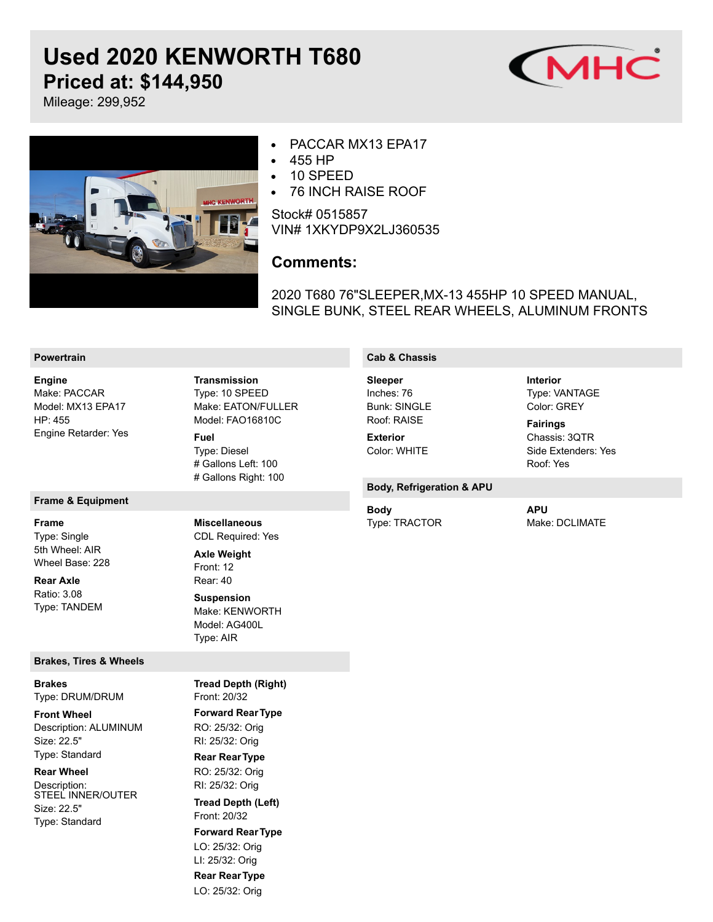# **Used 2020 KENWORTH T680 Priced at: \$144,950** Mileage: 299,952





#### PACCAR MX13 EPA17  $\bullet$

- 455 HP  $\bullet$
- 10 SPEED  $\bullet$
- $\bullet$ 76 INCH RAISE ROOF

Stock# 0515857 VIN# 1XKYDP9X2LJ360535

## **Comments:**

2020 T680 76"SLEEPER,MX-13 455HP 10 SPEED MANUAL, SINGLE BUNK, STEEL REAR WHEELS, ALUMINUM FRONTS

#### **Powertrain**

Make: PACCAR Model: MX13 EPA17 HP: 455 Engine Retarder: Yes **Engine**

**Frame & Equipment**

Type: Single 5th Wheel: AIR Wheel Base: 228 **Frame**

Ratio: 3.08 Type: TANDEM **Rear Axle**

#### **Brakes, Tires & Wheels**

Type: DRUM/DRUM **Brakes**

Description: ALUMINUM Size: 22.5" Type: Standard **Front Wheel**

#### **Rear Wheel**

Description: STEEL INNER/OUTER Size: 22.5" Type: Standard

Type: 10 SPEED Make: EATON/FULLER Model: FAO16810C Type: Diesel # Gallons Left: 100 # Gallons Right: 100 **Transmission Fuel**

#### **Cab & Chassis**

Inches: 76 **Bunk: SINGLE** Roof: RAISE **Sleeper**

Color: WHITE **Exterior**

Type: VANTAGE Color: GREY **Interior**

Chassis: 3QTR Side Extenders: Yes **Fairings**

Roof: Yes

### **Body, Refrigeration & APU**

Type: TRACTOR **Body**

Make: DCLIMATE **APU**

Front: 20/32 **Forward RearType Tread Depth (Right)**

CDL Required: Yes

**Miscellaneous**

Make: KENWORTH Model: AG400L Type: AIR

Front: 12 Rear: 40

**Axle Weight**

**Suspension**

RO: 25/32: Orig RI: 25/32: Orig **Rear RearType** RO: 25/32: Orig RI: 25/32: Orig

Front: 20/32 **Tread Depth (Left)**

**Forward RearType** LO: 25/32: Orig

LI: 25/32: Orig

**Rear RearType** LO: 25/32: Orig